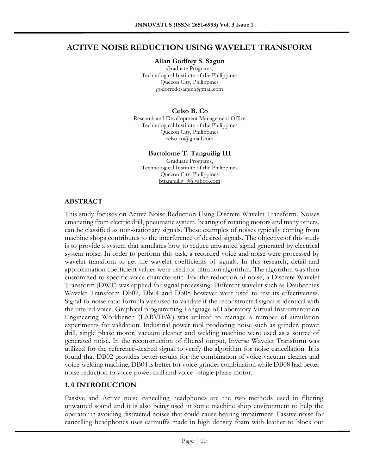# **ACTIVE NOISE REDUCTION USING WAVELET TRANSFORM**

**Allan Godfrey S. Sagun**

Graduate Programs, Technological Institute of the Philippines Quezon City, Philippines [godofredosagun@gmail.com](mailto:godofredosagun@gmail.com)

#### **Celso B. Co**

Research and Development Management Office Technological Institute of the Philippines Quezon City, Philippines [celso.co@gmail.com](mailto:celso.co@gmail.com)

#### **Bartolome T. Tanguilig III**

Graduate Programs, Technological Institute of the Philippines Quezon City, Philippines bttanguilig 3@yahoo.com

### **ABSTRACT**

This study focuses on Active Noise Reduction Using Discrete Wavelet Transform. Noises emanating from electric drill, pneumatic system, bearing of rotating motors and many others, can be classified as non-stationary signals. These examples of noises typically coming from machine shops contributes to the interference of desired signals. The objective of this study is to provide a system that simulates how to reduce unwanted signal generated by electrical system noise. In order to perform this task, a recorded voice and noise were processed by wavelet transform to get the wavelet coefficients of signals. In this research, detail and approximation coefficient values were used for filtration algorithm. The algorithm was then customized to specific voice characteristic. For the reduction of noise, a Discrete Wavelet Transform (DWT) was applied for signal processing. Different wavelet such as Daubechies Wavelet Transform Db02, Db04 and Db08 however were used to test its effectiveness. Signal-to-noise ratio formula was used to validate if the reconstructed signal is identical with the uttered voice. Graphical programming Language of Laboratory Virtual Instrumentation Engineering Workbench (LABVIEW) was utilized to manage a number of simulation experiments for validation. Industrial power tool producing noise such as grinder, power drill, single phase motor, vacuum cleaner and welding machine were used as a source of generated noise. In the reconstruction of filtered output, Inverse Wavelet Transform was utilized for the reference-desired signal to verify the algorithm for noise cancellation. It is found that DB02 provides better results for the combination of voice-vacuum cleaner and voice-welding machine, DB04 is better for voice-grinder combination while DB08 had better noise reduction to voice-power drill and voice –single phase motor.

### **1. 0 INTRODUCTION**

Passive and Active noise cancelling headphones are the two methods used in filtering unwanted sound and it is also being used in some machine shop environment to help the operator in avoiding distracted noises that could cause hearing impairment. Passive noise for cancelling headphones uses earmuffs made in high density foam with leather to block out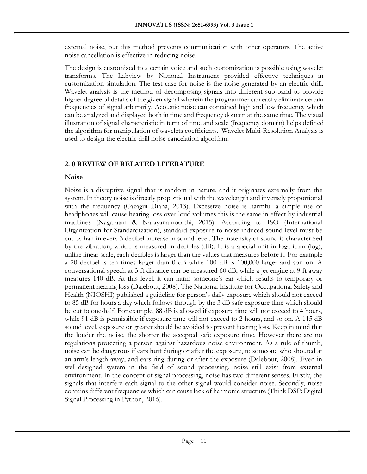external noise, but this method prevents communication with other operators. The active noise cancellation is effective in reducing noise.

The design is customized to a certain voice and such customization is possible using wavelet transforms. The Labview by National Instrument provided effective techniques in customization simulation. The test case for noise is the noise generated by an electric drill. Wavelet analysis is the method of decomposing signals into different sub-band to provide higher degree of details of the given signal wherein the programmer can easily eliminate certain frequencies of signal arbitrarily. Acoustic noise can contained high and low frequency which can be analyzed and displayed both in time and frequency domain at the same time. The visual illustration of signal characteristic in term of time and scale (frequency domain) helps defined the algorithm for manipulation of wavelets coefficients. Wavelet Multi-Resolution Analysis is used to design the electric drill noise cancelation algorithm.

### **2. 0 REVIEW OF RELATED LITERATURE**

### **Noise**

Noise is a disruptive signal that is random in nature, and it originates externally from the system. In theory noise is directly proportional with the wavelength and inversely proportional with the frequency (Cazagui Diana, 2013). Excessive noise is harmful a simple use of headphones will cause hearing loss over loud volumes this is the same in effect by industrial machines (Nagarajan & Narayanamoorthi, 2015). According to ISO (International Organization for Standardization), standard exposure to noise induced sound level must be cut by half in every 3 decibel increase in sound level. The instensity of sound is characterized by the vibration, which is measured in decibles (dB). It is a special unit in logarithm (log), unlike linear scale, each decibles is larger than the values that measures before it. For example a 20 decibel is ten times larger than 0 dB while 100 dB is 100,000 larger and son on. A conversational speech at 3 ft distance can be measured 60 dB, while a jet engine at 9 ft away measures 140 dB. At this level, it can harm someone's ear which results to temporary or permanent hearing loss (Dalebout, 2008). The National Institute for Occupational Safety and Health (NIOSHI) published a guideline for person's daily exposure which should not exceed to 85 dB for hours a day which follows through by the 3 dB safe exposure time which should be cut to one-half. For example, 88 dB is allowed if exposure time will not exceed to 4 hours, while 91 dB is permissible if exposure time will not exceed to 2 hours, and so on. A 115 dB sound level, exposure or greater should be avoided to prevent hearing loss. Keep in mind that the louder the noise, the shorter the accepted safe exposure time. However there are no regulations protecting a person against hazardous noise environment. As a rule of thumb, noise can be dangerous if ears hurt during or after the exposure, to someone who shouted at an arm's length away, and ears ring during or after the exposure (Dalebout, 2008). Even in well-designed system in the field of sound processing, noise still exist from external environment. In the concept of signal processing, noise has two different senses. Firstly, the signals that interfere each signal to the other signal would consider noise. Secondly, noise contains different frequencies which can cause lack of harmonic structure (Think DSP: Digital Signal Processing in Python, 2016).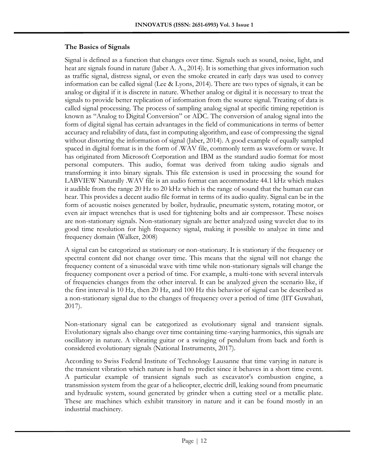### **The Basics of Signals**

Signal is defined as a function that changes over time. Signals such as sound, noise, light, and heat are signals found in nature (Jaber A. A., 2014). It is something that gives information such as traffic signal, distress signal, or even the smoke created in early days was used to convey information can be called signal (Lee & Lyons, 2014). There are two types of signals, it can be analog or digital if it is discrete in nature. Whether analog or digital it is necessary to treat the signals to provide better replication of information from the source signal. Treating of data is called signal processing. The process of sampling analog signal at specific timing repetition is known as "Analog to Digital Conversion" or ADC. The conversion of analog signal into the form of digital signal has certain advantages in the field of communications in terms of better accuracy and reliability of data, fast in computing algorithm, and ease of compressing the signal without distorting the information of signal (Jaber, 2014). A good example of equally sampled spaced in digital format is in the form of .WAV file, commonly term as waveform or wave. It has originated from Microsoft Corporation and IBM as the standard audio format for most personal computers. This audio, format was derived from taking audio signals and transforming it into binary signals. This file extension is used in processing the sound for LABVIEW Naturally .WAV file is an audio format can accommodate 44.1 kHz which makes it audible from the range 20 Hz to 20 kHz which is the range of sound that the human ear can hear. This provides a decent audio file format in terms of its audio quality. Signal can be in the form of acoustic noises generated by boiler, hydraulic, pneumatic system, rotating motor, or even air impact wrenches that is used for tightening bolts and air compressor. These noises are non-stationary signals. Non-stationary signals are better analyzed using wavelet due to its good time resolution for high frequency signal, making it possible to analyze in time and frequency domain (Walker, 2008)

A signal can be categorized as stationary or non-stationary. It is stationary if the frequency or spectral content did not change over time. This means that the signal will not change the frequency content of a sinusoidal wave with time while non-stationary signals will change the frequency component over a period of time. For example, a multi-tone with several intervals of frequencies changes from the other interval. It can be analyzed given the scenario like, if the first interval is 10 Hz, then 20 Hz, and 100 Hz this behavior of signal can be described as a non-stationary signal due to the changes of frequency over a period of time (IIT Guwahati, 2017).

Non-stationary signal can be categorized as evolutionary signal and transient signals. Evolutionary signals also change over time containing time-varying harmonics, this signals are oscillatory in nature. A vibrating guitar or a swinging of pendulum from back and forth is considered evolutionary signals (National Instruments, 2017).

According to Swiss Federal Institute of Technology Lausanne that time varying in nature is the transient vibration which nature is hard to predict since it behaves in a short time event. A particular example of transient signals such as excavator's combustion engine, a transmission system from the gear of a helicopter, electric drill, leaking sound from pneumatic and hydraulic system, sound generated by grinder when a cutting steel or a metallic plate. These are machines which exhibit transitory in nature and it can be found mostly in an industrial machinery.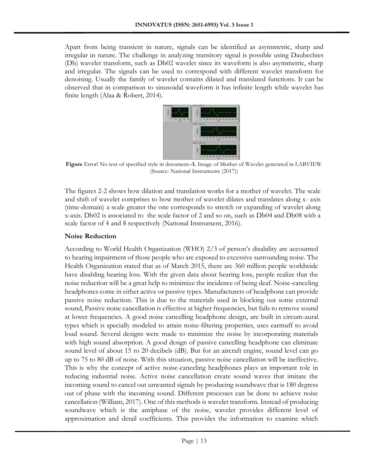Apart from being transient in nature, signals can be identified as asymmetric, sharp and irregular in nature. The challenge in analyzing transitory signal is possible using Daubechies (Db) wavelet transform, such as Db02 wavelet since its waveform is also asymmetric, sharp and irregular. The signals can be used to correspond with different wavelet transform for denoising. Usually the family of wavelet contains dilated and translated functions. It can be observed that in comparison to sinusoidal waveform it has infinite length while wavelet has finite length (Alaa & Robert, 2014).



**Figure** Error! No text of specified style in document.**-1.** Image of Mother of Wavelet generated in LABVIEW (Source: National Instruments (2017))

The figures 2-2 shows how dilation and translation works for a mother of wavelet. The scale and shift of wavelet comprises to how mother of wavelet dilates and translates along x- axis (time-domain) a scale greater the one corresponds to stretch or expanding of wavelet along x-axis. Db02 is associated to the scale factor of 2 and so on, such as Db04 and Db08 with a scale factor of 4 and 8 respectively (National Instrument, 2016).

#### **Noise Reduction**

According to World Health Organization (WHO) 2/3 of person's disability are accounted to hearing impairment of those people who are exposed to excessive surrounding noise. The Health Organization stated that as of March 2015, there are 360 million people worldwide have disabling hearing loss. With the given data about hearing loss, people realize that the noise reduction will be a great help to minimize the incidence of being deaf. Noise-canceling headphones come in either active or passive types. Manufacturers of headphone can provide passive noise reduction. This is due to the materials used in blocking out some external sound, Passive noise cancellation is effective at higher frequencies, but fails to remove sound at lower frequencies. A good noise cancelling headphone design, are built in circum-aural types which is specially modeled to attain noise-filtering properties, uses earmuff to avoid loud sound. Several designs were made to minimize the noise by incorporating materials with high sound absorption. A good design of passive cancelling headphone can eliminate sound level of about 15 to 20 decibels (dB). But for an aircraft engine, sound level can go up to 75 to 80 dB of noise. With this situation, passive noise cancellation will be ineffective. This is why the concept of active noise-canceling headphones plays an important role in reducing industrial noise. Active noise cancellation create sound waves that imitate the incoming sound to cancel out unwanted signals by producing soundwave that is 180 degress out of phase with the incoming sound. Different processes can be done to achieve noise cancellation (William, 2017). One of this methods is wavelet transform. Instead of producing soundwave which is the antiphase of the noise, wavelet provides different level of approximation and detail coefficients. This provides the information to examine which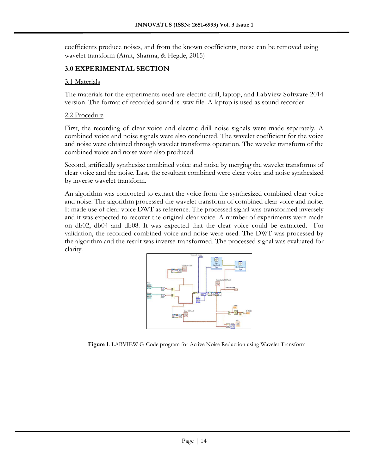coefficients produce noises, and from the known coefficients, noise can be removed using wavelet transform (Amit, Sharma, & Hegde, 2015)

### **3.0 EXPERIMENTAL SECTION**

#### 3.1 Materials

The materials for the experiments used are electric drill, laptop, and LabView Software 2014 version. The format of recorded sound is .wav file. A laptop is used as sound recorder.

#### 2.2 Procedure

First, the recording of clear voice and electric drill noise signals were made separately. A combined voice and noise signals were also conducted. The wavelet coefficient for the voice and noise were obtained through wavelet transforms operation. The wavelet transform of the combined voice and noise were also produced.

Second, artificially synthesize combined voice and noise by merging the wavelet transforms of clear voice and the noise. Last, the resultant combined were clear voice and noise synthesized by inverse wavelet transform.

An algorithm was concocted to extract the voice from the synthesized combined clear voice and noise. The algorithm processed the wavelet transform of combined clear voice and noise. It made use of clear voice DWT as reference. The processed signal was transformed inversely and it was expected to recover the original clear voice. A number of experiments were made on db02, db04 and db08. It was expected that the clear voice could be extracted. For validation, the recorded combined voice and noise were used. The DWT was processed by the algorithm and the result was inverse-transformed. The processed signal was evaluated for clarity.



**Figure 1**. LABVIEW G-Code program for Active Noise Reduction using Wavelet Transform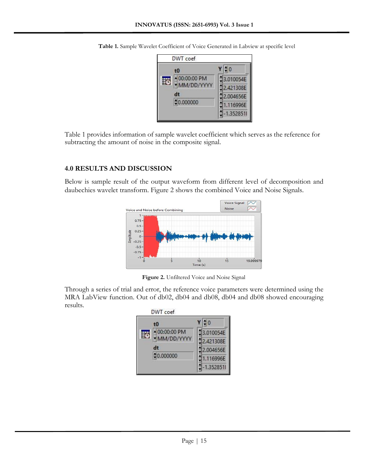| $\triangleq$ 0<br>3.010054E<br>2.421308E<br>2.004656E<br>1.116996E<br>$-1.3528511$ |
|------------------------------------------------------------------------------------|
|                                                                                    |

**Table 1.** Sample Wavelet Coefficient of Voice Generated in Labview at specific level

Table 1 provides information of sample wavelet coefficient which serves as the reference for subtracting the amount of noise in the composite signal.

### **4.0 RESULTS AND DISCUSSION**

Below is sample result of the output waveform from different level of decomposition and daubechies wavelet transform. Figure 2 shows the combined Voice and Noise Signals.



**Figure 2.** Unfiltered Voice and Noise Signal

Through a series of trial and error, the reference voice parameters were determined using the MRA LabView function. Out of db02, db04 and db08, db04 and db08 showed encouraging results.

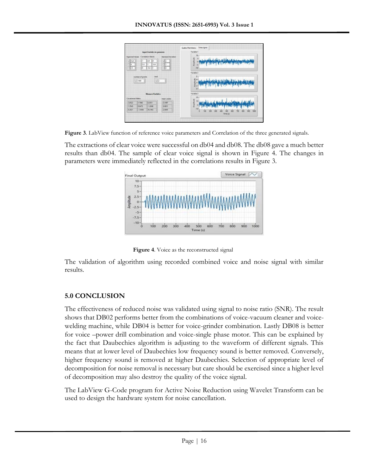

**Figure 3**. LabView function of reference voice parameters and Correlation of the three generated signals.

The extractions of clear voice were successful on db04 and db08. The db08 gave a much better results than db04. The sample of clear voice signal is shown in Figure 4. The changes in parameters were immediately reflected in the correlations results in Figure 3.



**Figure 4**. Voice as the reconstructed signal

The validation of algorithm using recorded combined voice and noise signal with similar results.

## **5.0 CONCLUSION**

The effectiveness of reduced noise was validated using signal to noise ratio (SNR). The result shows that DB02 performs better from the combinations of voice-vacuum cleaner and voicewelding machine, while DB04 is better for voice-grinder combination. Lastly DB08 is better for voice –power drill combination and voice-single phase motor. This can be explained by the fact that Daubechies algorithm is adjusting to the waveform of different signals. This means that at lower level of Daubechies low frequency sound is better removed. Conversely, higher frequency sound is removed at higher Daubechies. Selection of appropriate level of decomposition for noise removal is necessary but care should be exercised since a higher level of decomposition may also destroy the quality of the voice signal.

The LabView G-Code program for Active Noise Reduction using Wavelet Transform can be used to design the hardware system for noise cancellation.